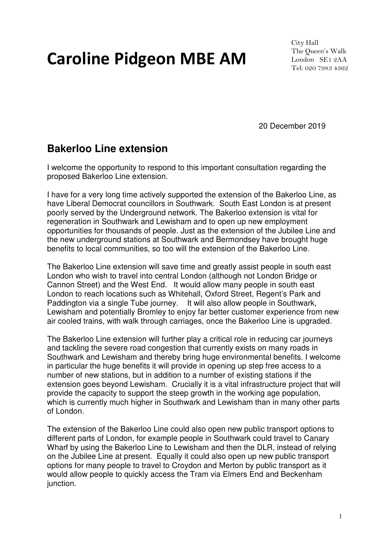# Caroline Pidgeon MBE AM

City Hall The Queen's Walk London SE1 2AA Tel: 020 7983 4362

20 December 2019

# **Bakerloo Line extension**

I welcome the opportunity to respond to this important consultation regarding the proposed Bakerloo Line extension.

I have for a very long time actively supported the extension of the Bakerloo Line, as have Liberal Democrat councillors in Southwark. South East London is at present poorly served by the Underground network. The Bakerloo extension is vital for regeneration in Southwark and Lewisham and to open up new employment opportunities for thousands of people. Just as the extension of the Jubilee Line and the new underground stations at Southwark and Bermondsey have brought huge benefits to local communities, so too will the extension of the Bakerloo Line.

The Bakerloo Line extension will save time and greatly assist people in south east London who wish to travel into central London (although not London Bridge or Cannon Street) and the West End. It would allow many people in south east London to reach locations such as Whitehall, Oxford Street, Regent's Park and Paddington via a single Tube journey. It will also allow people in Southwark, Lewisham and potentially Bromley to enjoy far better customer experience from new air cooled trains, with walk through carriages, once the Bakerloo Line is upgraded.

The Bakerloo Line extension will further play a critical role in reducing car journeys and tackling the severe road congestion that currently exists on many roads in Southwark and Lewisham and thereby bring huge environmental benefits. I welcome in particular the huge benefits it will provide in opening up step free access to a number of new stations, but in addition to a number of existing stations if the extension goes beyond Lewisham. Crucially it is a vital infrastructure project that will provide the capacity to support the steep growth in the working age population, which is currently much higher in Southwark and Lewisham than in many other parts of London.

The extension of the Bakerloo Line could also open new public transport options to different parts of London, for example people in Southwark could travel to Canary Wharf by using the Bakerloo Line to Lewisham and then the DLR, instead of relying on the Jubilee Line at present. Equally it could also open up new public transport options for many people to travel to Croydon and Merton by public transport as it would allow people to quickly access the Tram via Elmers End and Beckenham junction.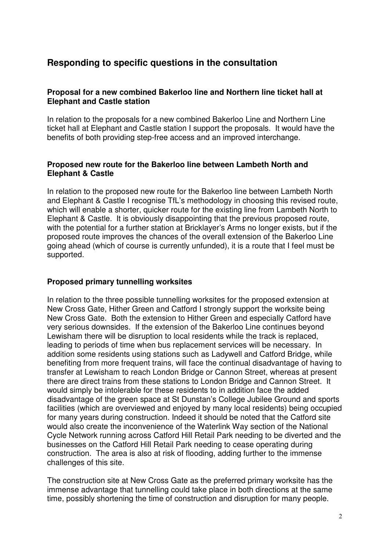# **Responding to specific questions in the consultation**

# **Proposal for a new combined Bakerloo line and Northern line ticket hall at Elephant and Castle station**

In relation to the proposals for a new combined Bakerloo Line and Northern Line ticket hall at Elephant and Castle station I support the proposals. It would have the benefits of both providing step-free access and an improved interchange.

## **Proposed new route for the Bakerloo line between Lambeth North and Elephant & Castle**

In relation to the proposed new route for the Bakerloo line between Lambeth North and Elephant & Castle I recognise TfL's methodology in choosing this revised route, which will enable a shorter, quicker route for the existing line from Lambeth North to Elephant & Castle. It is obviously disappointing that the previous proposed route, with the potential for a further station at Bricklayer's Arms no longer exists, but if the proposed route improves the chances of the overall extension of the Bakerloo Line going ahead (which of course is currently unfunded), it is a route that I feel must be supported.

# **Proposed primary tunnelling worksites**

In relation to the three possible tunnelling worksites for the proposed extension at New Cross Gate, Hither Green and Catford I strongly support the worksite being New Cross Gate. Both the extension to Hither Green and especially Catford have very serious downsides. If the extension of the Bakerloo Line continues beyond Lewisham there will be disruption to local residents while the track is replaced, leading to periods of time when bus replacement services will be necessary. In addition some residents using stations such as Ladywell and Catford Bridge, while benefiting from more frequent trains, will face the continual disadvantage of having to transfer at Lewisham to reach London Bridge or Cannon Street, whereas at present there are direct trains from these stations to London Bridge and Cannon Street. It would simply be intolerable for these residents to in addition face the added disadvantage of the green space at St Dunstan's College Jubilee Ground and sports facilities (which are overviewed and enjoyed by many local residents) being occupied for many years during construction. Indeed it should be noted that the Catford site would also create the inconvenience of the Waterlink Way section of the National Cycle Network running across Catford Hill Retail Park needing to be diverted and the businesses on the Catford Hill Retail Park needing to cease operating during construction. The area is also at risk of flooding, adding further to the immense challenges of this site.

The construction site at New Cross Gate as the preferred primary worksite has the immense advantage that tunnelling could take place in both directions at the same time, possibly shortening the time of construction and disruption for many people.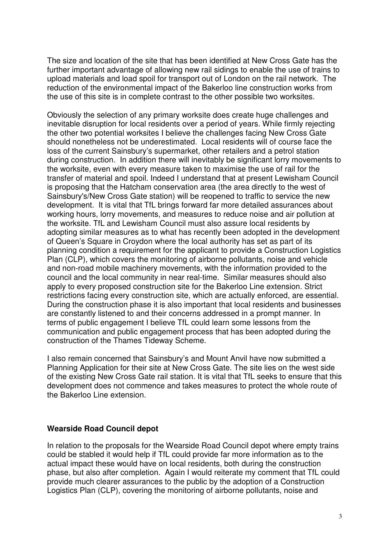The size and location of the site that has been identified at New Cross Gate has the further important advantage of allowing new rail sidings to enable the use of trains to upload materials and load spoil for transport out of London on the rail network. The reduction of the environmental impact of the Bakerloo line construction works from the use of this site is in complete contrast to the other possible two worksites.

Obviously the selection of any primary worksite does create huge challenges and inevitable disruption for local residents over a period of years. While firmly rejecting the other two potential worksites I believe the challenges facing New Cross Gate should nonetheless not be underestimated. Local residents will of course face the loss of the current Sainsbury's supermarket, other retailers and a petrol station during construction. In addition there will inevitably be significant lorry movements to the worksite, even with every measure taken to maximise the use of rail for the transfer of material and spoil. Indeed I understand that at present Lewisham Council is proposing that the Hatcham conservation area (the area directly to the west of Sainsbury's/New Cross Gate station) will be reopened to traffic to service the new development. It is vital that TfL brings forward far more detailed assurances about working hours, lorry movements, and measures to reduce noise and air pollution at the worksite. TfL and Lewisham Council must also assure local residents by adopting similar measures as to what has recently been adopted in the development of Queen's Square in Croydon where the local authority has set as part of its planning condition a requirement for the applicant to provide a Construction Logistics Plan (CLP), which covers the monitoring of airborne pollutants, noise and vehicle and non-road mobile machinery movements, with the information provided to the council and the local community in near real-time. Similar measures should also apply to every proposed construction site for the Bakerloo Line extension. Strict restrictions facing every construction site, which are actually enforced, are essential. During the construction phase it is also important that local residents and businesses are constantly listened to and their concerns addressed in a prompt manner. In terms of public engagement I believe TfL could learn some lessons from the communication and public engagement process that has been adopted during the construction of the Thames Tideway Scheme.

I also remain concerned that Sainsbury's and Mount Anvil have now submitted a Planning Application for their site at New Cross Gate. The site lies on the west side of the existing New Cross Gate rail station. It is vital that TfL seeks to ensure that this development does not commence and takes measures to protect the whole route of the Bakerloo Line extension.

#### **Wearside Road Council depot**

In relation to the proposals for the Wearside Road Council depot where empty trains could be stabled it would help if TfL could provide far more information as to the actual impact these would have on local residents, both during the construction phase, but also after completion. Again I would reiterate my comment that TfL could provide much clearer assurances to the public by the adoption of a Construction Logistics Plan (CLP), covering the monitoring of airborne pollutants, noise and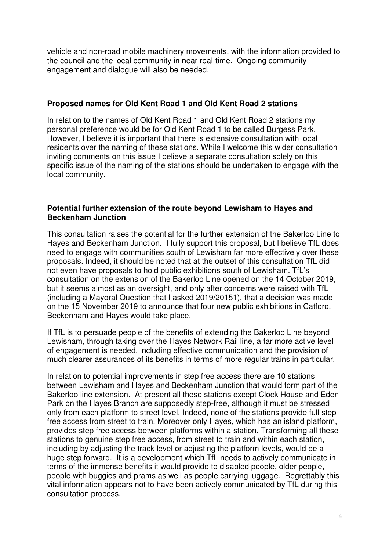vehicle and non-road mobile machinery movements, with the information provided to the council and the local community in near real-time. Ongoing community engagement and dialogue will also be needed.

# **Proposed names for Old Kent Road 1 and Old Kent Road 2 stations**

In relation to the names of Old Kent Road 1 and Old Kent Road 2 stations my personal preference would be for Old Kent Road 1 to be called Burgess Park. However, I believe it is important that there is extensive consultation with local residents over the naming of these stations. While I welcome this wider consultation inviting comments on this issue I believe a separate consultation solely on this specific issue of the naming of the stations should be undertaken to engage with the local community.

## **Potential further extension of the route beyond Lewisham to Hayes and Beckenham Junction**

This consultation raises the potential for the further extension of the Bakerloo Line to Hayes and Beckenham Junction. I fully support this proposal, but I believe TfL does need to engage with communities south of Lewisham far more effectively over these proposals. Indeed, it should be noted that at the outset of this consultation TfL did not even have proposals to hold public exhibitions south of Lewisham. TfL's consultation on the extension of the Bakerloo Line opened on the 14 October 2019, but it seems almost as an oversight, and only after concerns were raised with TfL (including a Mayoral Question that I asked 2019/20151), that a decision was made on the 15 November 2019 to announce that four new public exhibitions in Catford, Beckenham and Hayes would take place.

If TfL is to persuade people of the benefits of extending the Bakerloo Line beyond Lewisham, through taking over the Hayes Network Rail line, a far more active level of engagement is needed, including effective communication and the provision of much clearer assurances of its benefits in terms of more regular trains in particular.

In relation to potential improvements in step free access there are 10 stations between Lewisham and Hayes and Beckenham Junction that would form part of the Bakerloo line extension. At present all these stations except Clock House and Eden Park on the Hayes Branch are supposedly step-free, although it must be stressed only from each platform to street level. Indeed, none of the stations provide full stepfree access from street to train. Moreover only Hayes, which has an island platform, provides step free access between platforms within a station. Transforming all these stations to genuine step free access, from street to train and within each station, including by adjusting the track level or adjusting the platform levels, would be a huge step forward. It is a development which TfL needs to actively communicate in terms of the immense benefits it would provide to disabled people, older people, people with buggies and prams as well as people carrying luggage. Regrettably this vital information appears not to have been actively communicated by TfL during this consultation process.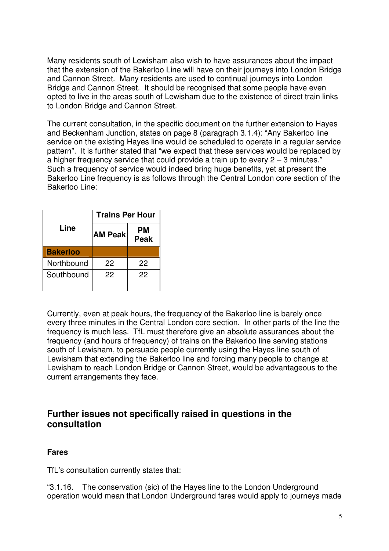Many residents south of Lewisham also wish to have assurances about the impact that the extension of the Bakerloo Line will have on their journeys into London Bridge and Cannon Street. Many residents are used to continual journeys into London Bridge and Cannon Street. It should be recognised that some people have even opted to live in the areas south of Lewisham due to the existence of direct train links to London Bridge and Cannon Street.

The current consultation, in the specific document on the further extension to Hayes and Beckenham Junction, states on page 8 (paragraph 3.1.4): "Any Bakerloo line service on the existing Hayes line would be scheduled to operate in a regular service pattern". It is further stated that "we expect that these services would be replaced by a higher frequency service that could provide a train up to every  $2 - 3$  minutes." Such a frequency of service would indeed bring huge benefits, yet at present the Bakerloo Line frequency is as follows through the Central London core section of the Bakerloo Line:

|                 | <b>Trains Per Hour</b> |                   |
|-----------------|------------------------|-------------------|
| Line            | <b>AM Peak</b>         | PМ<br><b>Peak</b> |
| <b>Bakerloo</b> |                        |                   |
| Northbound      | 22                     | 22                |
| Southbound      | 22                     | 22                |

Currently, even at peak hours, the frequency of the Bakerloo line is barely once every three minutes in the Central London core section. In other parts of the line the frequency is much less. TfL must therefore give an absolute assurances about the frequency (and hours of frequency) of trains on the Bakerloo line serving stations south of Lewisham, to persuade people currently using the Hayes line south of Lewisham that extending the Bakerloo line and forcing many people to change at Lewisham to reach London Bridge or Cannon Street, would be advantageous to the current arrangements they face.

# **Further issues not specifically raised in questions in the consultation**

# **Fares**

TfL's consultation currently states that:

"3.1.16. The conservation (sic) of the Hayes line to the London Underground operation would mean that London Underground fares would apply to journeys made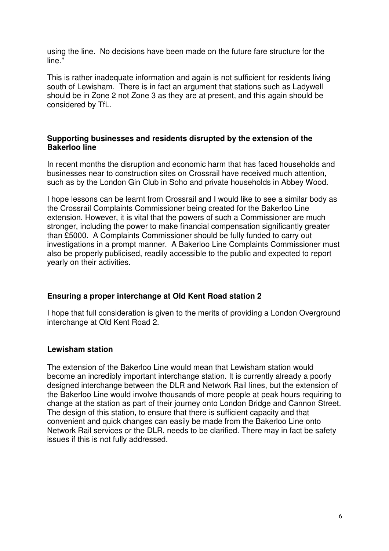using the line. No decisions have been made on the future fare structure for the line."

This is rather inadequate information and again is not sufficient for residents living south of Lewisham. There is in fact an argument that stations such as Ladywell should be in Zone 2 not Zone 3 as they are at present, and this again should be considered by TfL.

#### **Supporting businesses and residents disrupted by the extension of the Bakerloo line**

In recent months the disruption and economic harm that has faced households and businesses near to construction sites on Crossrail have received much attention, such as by the London Gin Club in Soho and private households in Abbey Wood.

I hope lessons can be learnt from Crossrail and I would like to see a similar body as the Crossrail Complaints Commissioner being created for the Bakerloo Line extension. However, it is vital that the powers of such a Commissioner are much stronger, including the power to make financial compensation significantly greater than £5000. A Complaints Commissioner should be fully funded to carry out investigations in a prompt manner. A Bakerloo Line Complaints Commissioner must also be properly publicised, readily accessible to the public and expected to report yearly on their activities.

#### **Ensuring a proper interchange at Old Kent Road station 2**

I hope that full consideration is given to the merits of providing a London Overground interchange at Old Kent Road 2.

#### **Lewisham station**

The extension of the Bakerloo Line would mean that Lewisham station would become an incredibly important interchange station. It is currently already a poorly designed interchange between the DLR and Network Rail lines, but the extension of the Bakerloo Line would involve thousands of more people at peak hours requiring to change at the station as part of their journey onto London Bridge and Cannon Street. The design of this station, to ensure that there is sufficient capacity and that convenient and quick changes can easily be made from the Bakerloo Line onto Network Rail services or the DLR, needs to be clarified. There may in fact be safety issues if this is not fully addressed.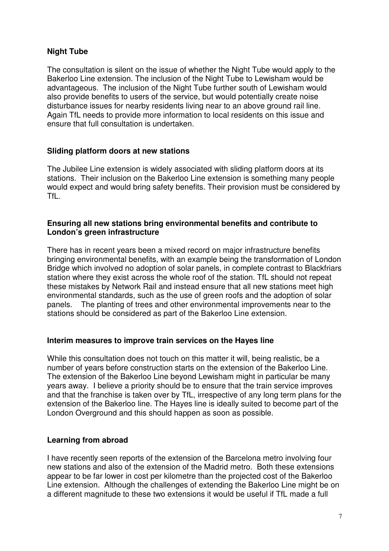# **Night Tube**

The consultation is silent on the issue of whether the Night Tube would apply to the Bakerloo Line extension. The inclusion of the Night Tube to Lewisham would be advantageous. The inclusion of the Night Tube further south of Lewisham would also provide benefits to users of the service, but would potentially create noise disturbance issues for nearby residents living near to an above ground rail line. Again TfL needs to provide more information to local residents on this issue and ensure that full consultation is undertaken.

## **Sliding platform doors at new stations**

The Jubilee Line extension is widely associated with sliding platform doors at its stations. Their inclusion on the Bakerloo Line extension is something many people would expect and would bring safety benefits. Their provision must be considered by TfL.

## **Ensuring all new stations bring environmental benefits and contribute to London's green infrastructure**

There has in recent years been a mixed record on major infrastructure benefits bringing environmental benefits, with an example being the transformation of London Bridge which involved no adoption of solar panels, in complete contrast to Blackfriars station where they exist across the whole roof of the station. TfL should not repeat these mistakes by Network Rail and instead ensure that all new stations meet high environmental standards, such as the use of green roofs and the adoption of solar panels. The planting of trees and other environmental improvements near to the stations should be considered as part of the Bakerloo Line extension.

#### **Interim measures to improve train services on the Hayes line**

While this consultation does not touch on this matter it will, being realistic, be a number of years before construction starts on the extension of the Bakerloo Line. The extension of the Bakerloo Line beyond Lewisham might in particular be many years away. I believe a priority should be to ensure that the train service improves and that the franchise is taken over by TfL, irrespective of any long term plans for the extension of the Bakerloo line. The Hayes line is ideally suited to become part of the London Overground and this should happen as soon as possible.

#### **Learning from abroad**

I have recently seen reports of the extension of the Barcelona metro involving four new stations and also of the extension of the Madrid metro. Both these extensions appear to be far lower in cost per kilometre than the projected cost of the Bakerloo Line extension. Although the challenges of extending the Bakerloo Line might be on a different magnitude to these two extensions it would be useful if TfL made a full